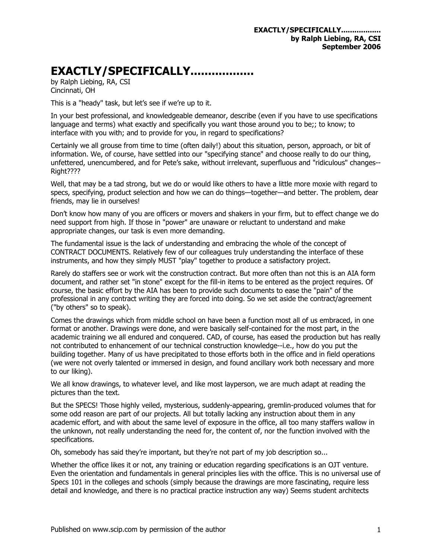## **EXACTLY/SPECIFICALLY..................**

by Ralph Liebing, RA, CSI Cincinnati, OH

This is a "heady" task, but let's see if we're up to it.

In your best professional, and knowledgeable demeanor, describe (even if you have to use specifications language and terms) what exactly and specifically you want those around you to be;; to know; to interface with you with; and to provide for you, in regard to specifications?

Certainly we all grouse from time to time (often daily!) about this situation, person, approach, or bit of information. We, of course, have settled into our "specifying stance" and choose really to do our thing, unfettered, unencumbered, and for Pete's sake, without irrelevant, superfluous and "ridiculous" changes-- Right????

Well, that may be a tad strong, but we do or would like others to have a little more moxie with regard to specs, specifying, product selection and how we can do things—together—and better. The problem, dear friends, may lie in ourselves!

Don't know how many of you are officers or movers and shakers in your firm, but to effect change we do need support from high. If those in "power" are unaware or reluctant to understand and make appropriate changes, our task is even more demanding.

The fundamental issue is the lack of understanding and embracing the whole of the concept of CONTRACT DOCUMENTS. Relatively few of our colleagues truly understanding the interface of these instruments, and how they simply MUST "play" together to produce a satisfactory project.

Rarely do staffers see or work wit the construction contract. But more often than not this is an AIA form document, and rather set "in stone" except for the fill-in items to be entered as the project requires. Of course, the basic effort by the AIA has been to provide such documents to ease the "pain" of the professional in any contract writing they are forced into doing. So we set aside the contract/agreement ("by others" so to speak).

Comes the drawings which from middle school on have been a function most all of us embraced, in one format or another. Drawings were done, and were basically self-contained for the most part, in the academic training we all endured and conquered. CAD, of course, has eased the production but has really not contributed to enhancement of our technical construction knowledge--i.e., how do you put the building together. Many of us have precipitated to those efforts both in the office and in field operations (we were not overly talented or immersed in design, and found ancillary work both necessary and more to our liking).

We all know drawings, to whatever level, and like most layperson, we are much adapt at reading the pictures than the text.

But the SPECS! Those highly veiled, mysterious, suddenly-appearing, gremlin-produced volumes that for some odd reason are part of our projects. All but totally lacking any instruction about them in any academic effort, and with about the same level of exposure in the office, all too many staffers wallow in the unknown, not really understanding the need for, the content of, nor the function involved with the specifications.

Oh, somebody has said they're important, but they're not part of my job description so...

Whether the office likes it or not, any training or education regarding specifications is an OJT venture. Even the orientation and fundamentals in general principles lies with the office. This is no universal use of Specs 101 in the colleges and schools (simply because the drawings are more fascinating, require less detail and knowledge, and there is no practical practice instruction any way) Seems student architects